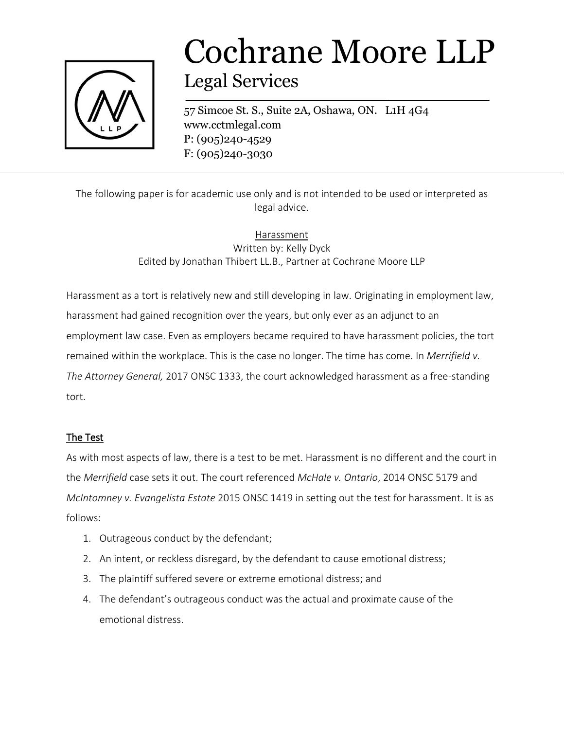

# Cochrane Moore LLP Legal Services

57 Simcoe St. S., Suite 2A, Oshawa, ON. L1H 4G4 www.cctmlegal.com P: (905)240-4529

The following paper is for academic use only and is not intended to be used or interpreted as legal advice.

F: (905)240-3030

Harassment Written by: Kelly Dyck Edited by Jonathan Thibert LL.B., Partner at Cochrane Moore LLP

Harassment as a tort is relatively new and still developing in law. Originating in employment law, harassment had gained recognition over the years, but only ever as an adjunct to an employment law case. Even as employers became required to have harassment policies, the tort remained within the workplace. This is the case no longer. The time has come. In *Merrifield v. The Attorney General,* 2017 ONSC 1333, the court acknowledged harassment as a free-standing tort.

## The Test

As with most aspects of law, there is a test to be met. Harassment is no different and the court in the *Merrifield* case sets it out. The court referenced *McHale v. Ontario*, 2014 ONSC 5179 and *McIntomney v. Evangelista Estate* 2015 [ONSC](https://advance-lexis-com.dproxy.library.dc-uoit.ca/document/teaserdocument/?pdmfid=1505209&crid=451621e6-909b-427d-a228-8ed45d6a2cbb&pddocfullpath=%2Fshared%2Fdocument%2Fcases-ca%2Furn%3AcontentItem%3A5N23-MGF1-JX3N-B4G2-00000-00&pdteaserkey=h1&pdicsfeatureid=1517129&pditab=allpods&ecomp=5yLg&earg=sr0&prid=2a1d15e4-468f-4c93-9323-b8a97aa01b55) 1419 in setting out the test for harassment. It is as follows:

- 1. Outrageous conduct by the defendant;
- 2. An intent, or reckless disregard, by the defendant to cause emotional distress;
- 3. The plaintiff suffered severe or extreme emotional distress; and
- 4. The defendant's outrageous conduct was the actual and proximate cause of the emotional distress.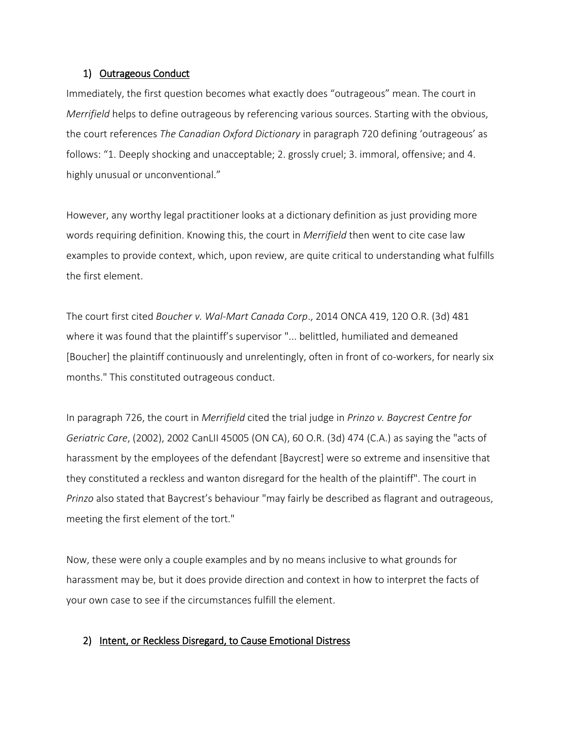#### 1) Outrageous Conduct

Immediately, the first question becomes what exactly does "outrageous" mean. The court in *Merrifield* helps to define outrageous by referencing various sources. Starting with the obvious, the court references *The Canadian Oxford Dictionary* in paragraph 720 defining 'outrageous' as follows: "1. Deeply shocking and unacceptable; 2. grossly cruel; 3. immoral, offensive; and 4. highly unusual or unconventional."

However, any worthy legal practitioner looks at a dictionary definition as just providing more words requiring definition. Knowing this, the court in *Merrifield* then went to cite case law examples to provide context, which, upon review, are quite critical to understanding what fulfills the first element.

The court first cited *Boucher v. Wal-Mart Canada Corp*., 2014 [ONCA](https://advance-lexis-com.dproxy.library.dc-uoit.ca/document/teaserdocument/?pdmfid=1505209&crid=451621e6-909b-427d-a228-8ed45d6a2cbb&pddocfullpath=%2Fshared%2Fdocument%2Fcases-ca%2Furn%3AcontentItem%3A5N23-MGF1-JX3N-B4G2-00000-00&pdteaserkey=h1&pdicsfeatureid=1517129&pditab=allpods&ecomp=5yLg&earg=sr0&prid=2a1d15e4-468f-4c93-9323-b8a97aa01b55) 419, 120 [O.R.](https://advance-lexis-com.dproxy.library.dc-uoit.ca/document/teaserdocument/?pdmfid=1505209&crid=451621e6-909b-427d-a228-8ed45d6a2cbb&pddocfullpath=%2Fshared%2Fdocument%2Fcases-ca%2Furn%3AcontentItem%3A5N23-MGF1-JX3N-B4G2-00000-00&pdteaserkey=h1&pdicsfeatureid=1517129&pditab=allpods&ecomp=5yLg&earg=sr0&prid=2a1d15e4-468f-4c93-9323-b8a97aa01b55) (3d) 481 where it was found that the plaintiff's supervisor "... belittled, humiliated and demeaned [Boucher] the plaintiff continuously and unrelentingly, often in front of co-workers, for nearly six months." This constituted outrageous conduct.

In paragraph 726, the court in *Merrifield* cited the trial judge in *Prinzo v. Baycrest Centre for Geriatric Care*, (2002), 2002 CanLII 45005 (ON CA), 60 O.R. (3d) 474 (C.A.) as saying the "acts of harassment by the employees of the defendant [Baycrest] were so extreme and insensitive that they constituted a reckless and wanton disregard for the health of the plaintiff". The court in *Prinzo* also stated that Baycrest's behaviour "may fairly be described as flagrant and outrageous, meeting the first element of the tort."

Now, these were only a couple examples and by no means inclusive to what grounds for harassment may be, but it does provide direction and context in how to interpret the facts of your own case to see if the circumstances fulfill the element.

## 2) Intent, or Reckless Disregard, to Cause Emotional Distress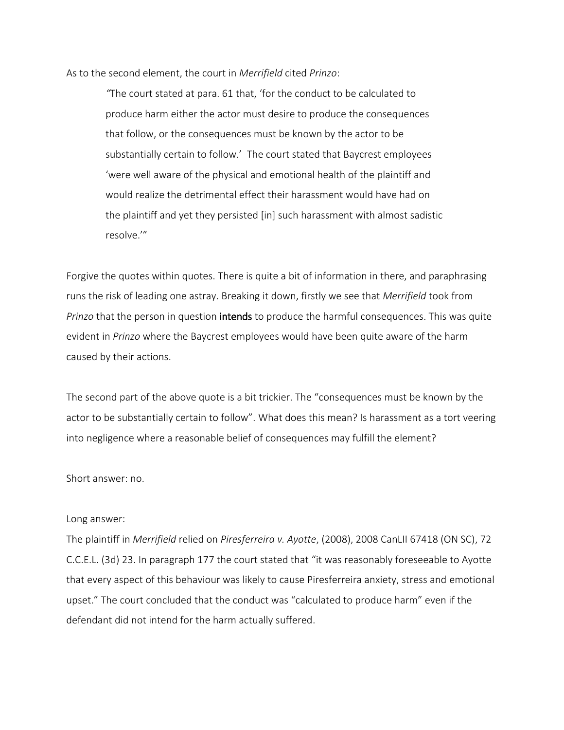As to the second element, the court in *Merrifield* cited *Prinzo*:

*"*The court stated at para. 61 that, 'for the conduct to be calculated to produce harm either the actor must desire to produce the consequences that follow, or the consequences must be known by the actor to be substantially certain to follow.' The court stated that Baycrest employees 'were well aware of the physical and emotional health of the plaintiff and would realize the detrimental effect their harassment would have had on the plaintiff and yet they persisted [in] such harassment with almost sadistic resolve.'"

Forgive the quotes within quotes. There is quite a bit of information in there, and paraphrasing runs the risk of leading one astray. Breaking it down, firstly we see that *Merrifield* took from *Prinzo* that the person in question intends to produce the harmful consequences. This was quite evident in *Prinzo* where the Baycrest employees would have been quite aware of the harm caused by their actions.

The second part of the above quote is a bit trickier. The "consequences must be known by the actor to be substantially certain to follow". What does this mean? Is harassment as a tort veering into negligence where a reasonable belief of consequences may fulfill the element?

Short answer: no.

#### Long answer:

The plaintiff in *Merrifield* relied on *Piresferreira v. Ayotte*, (2008), 2008 CanLII 67418 (ON SC), 72 C.C.E.L. (3d) 23. In paragraph 177 the court stated that "it was reasonably foreseeable to Ayotte that every aspect of this behaviour was likely to cause Piresferreira anxiety, stress and emotional upset." The court concluded that the conduct was "calculated to produce harm" even if the defendant did not intend for the harm actually suffered.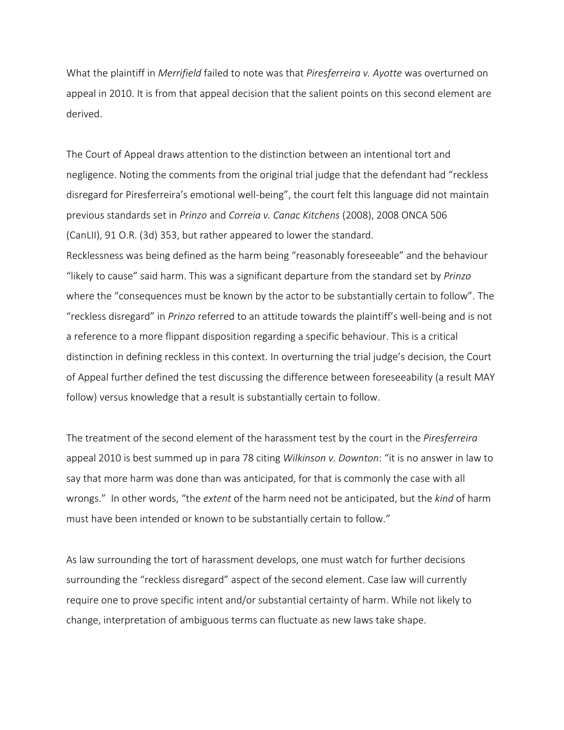What the plaintiff in *Merrifield* failed to note was that *Piresferreira v. Ayotte* was overturned on appeal in 2010. It is from that appeal decision that the salient points on this second element are derived.

The Court of Appeal draws attention to the distinction between an intentional tort and negligence. Noting the comments from the original trial judge that the defendant had "reckless disregard for Piresferreira's emotional well-being", the court felt this language did not maintain previous standards set in *Prinzo* and *Correia v. Canac Kitchens* (2008), 2008 ONCA 506 (CanLII), 91 O.R. (3d) 353, but rather appeared to lower the standard. Recklessness was being defined as the harm being "reasonably foreseeable" and the behaviour "likely to cause" said harm. This was a significant departure from the standard set by *Prinzo* where the "consequences must be known by the actor to be substantially certain to follow". The "reckless disregard" in *Prinzo* referred to an attitude towards the plaintiff's well-being and is not a reference to a more flippant disposition regarding a specific behaviour. This is a critical distinction in defining reckless in this context. In overturning the trial judge's decision, the Court of Appeal further defined the test discussing the difference between foreseeability (a result MAY follow) versus knowledge that a result is substantially certain to follow.

The treatment of the second element of the harassment test by the court in the *Piresferreira* appeal 2010 is best summed up in para 78 citing *Wilkinson v. Downton*: "it is no answer in law to say that more harm was done than was anticipated, for that is commonly the case with all wrongs." In other words, "the *extent* of the harm need not be anticipated, but the *kind* of harm must have been intended or known to be substantially certain to follow."

As law surrounding the tort of harassment develops, one must watch for further decisions surrounding the "reckless disregard" aspect of the second element. Case law will currently require one to prove specific intent and/or substantial certainty of harm. While not likely to change, interpretation of ambiguous terms can fluctuate as new laws take shape.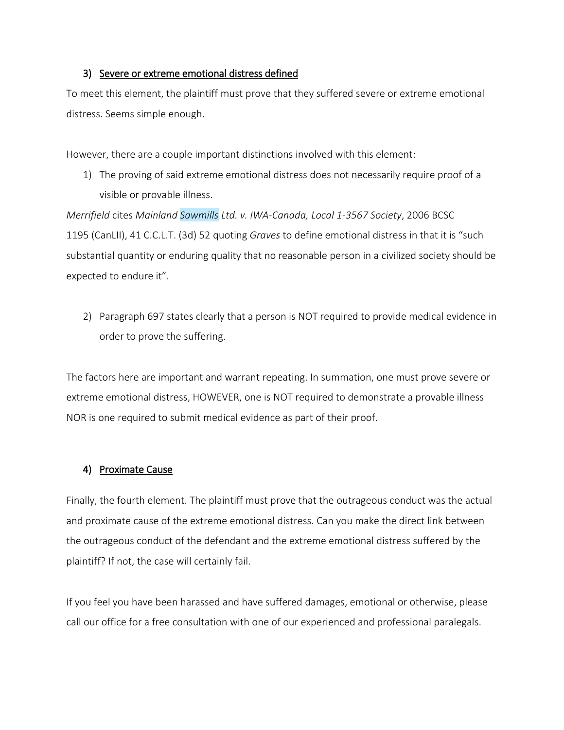#### 3) Severe or extreme emotional distress defined

To meet this element, the plaintiff must prove that they suffered severe or extreme emotional distress. Seems simple enough.

However, there are a couple important distinctions involved with this element:

1) The proving of said extreme emotional distress does not necessarily require proof of a visible or provable illness.

*Merrifield* cites *Mainland Sawmills Ltd. v. IWA-Canada, Local 1-3567 Society*, 2006 BCSC 1195 (CanLII), 41 C.C.L.T. (3d) 52 quoting *Graves* to define emotional distress in that it is "such substantial quantity or enduring quality that no reasonable person in a civilized society should be expected to endure it".

2) Paragraph 697 states clearly that a person is NOT required to provide medical evidence in order to prove the suffering.

The factors here are important and warrant repeating. In summation, one must prove severe or extreme emotional distress, HOWEVER, one is NOT required to demonstrate a provable illness NOR is one required to submit medical evidence as part of their proof.

## 4) Proximate Cause

Finally, the fourth element. The plaintiff must prove that the outrageous conduct was the actual and proximate cause of the extreme emotional distress. Can you make the direct link between the outrageous conduct of the defendant and the extreme emotional distress suffered by the plaintiff? If not, the case will certainly fail.

If you feel you have been harassed and have suffered damages, emotional or otherwise, please call our office for a free consultation with one of our experienced and professional paralegals.